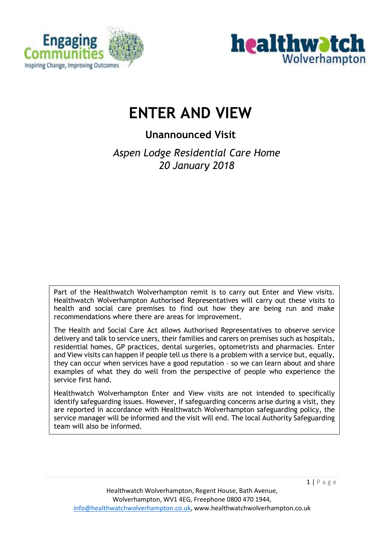



# **ENTER AND VIEW**

# **Unannounced Visit**

*Aspen Lodge Residential Care Home 20 January 2018*

Part of the Healthwatch Wolverhampton remit is to carry out Enter and View visits. Healthwatch Wolverhampton Authorised Representatives will carry out these visits to health and social care premises to find out how they are being run and make recommendations where there are areas for improvement.

The Health and Social Care Act allows Authorised Representatives to observe service delivery and talk to service users, their families and carers on premises such as hospitals, residential homes, GP practices, dental surgeries, optometrists and pharmacies. Enter and View visits can happen if people tell us there is a problem with a service but, equally, they can occur when services have a good reputation – so we can learn about and share examples of what they do well from the perspective of people who experience the service first hand.

Healthwatch Wolverhampton Enter and View visits are not intended to specifically identify safeguarding issues. However, if safeguarding concerns arise during a visit, they are reported in accordance with Healthwatch Wolverhampton safeguarding policy, the service manager will be informed and the visit will end. The local Authority Safeguarding team will also be informed.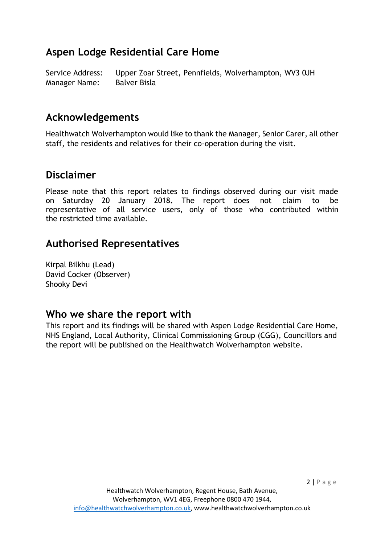# **Aspen Lodge Residential Care Home**

Service Address: Upper Zoar Street, Pennfields, Wolverhampton, WV3 0JH Manager Name: Balver Bisla

# **Acknowledgements**

Healthwatch Wolverhampton would like to thank the Manager, Senior Carer, all other staff, the residents and relatives for their co-operation during the visit.

# **Disclaimer**

Please note that this report relates to findings observed during our visit made on Saturday 20 January 2018**.** The report does not claim to be representative of all service users, only of those who contributed within the restricted time available.

# **Authorised Representatives**

Kirpal Bilkhu (Lead) David Cocker (Observer) Shooky Devi

### **Who we share the report with**

This report and its findings will be shared with Aspen Lodge Residential Care Home, NHS England, Local Authority, Clinical Commissioning Group (CGG), Councillors and the report will be published on the Healthwatch Wolverhampton website.

 $2 | P \text{ age}$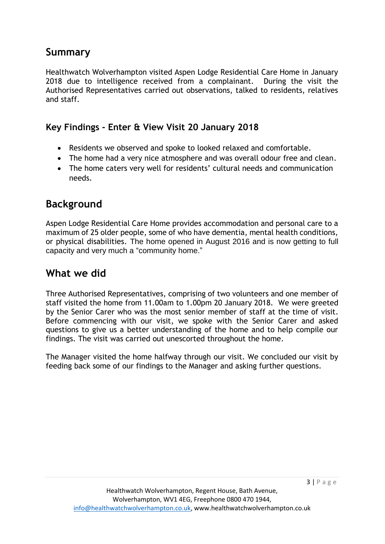# **Summary**

Healthwatch Wolverhampton visited Aspen Lodge Residential Care Home in January 2018 due to intelligence received from a complainant. During the visit the Authorised Representatives carried out observations, talked to residents, relatives and staff.

#### **Key Findings - Enter & View Visit 20 January 2018**

- Residents we observed and spoke to looked relaxed and comfortable.
- The home had a very nice atmosphere and was overall odour free and clean.
- The home caters very well for residents' cultural needs and communication needs.

# **Background**

Aspen Lodge Residential Care Home provides accommodation and personal care to a maximum of 25 older people, some of who have dementia, mental health conditions, or physical disabilities. The home opened in August 2016 and is now getting to full capacity and very much a "community home."

### **What we did**

Three Authorised Representatives, comprising of two volunteers and one member of staff visited the home from 11.00am to 1.00pm 20 January 2018. We were greeted by the Senior Carer who was the most senior member of staff at the time of visit. Before commencing with our visit, we spoke with the Senior Carer and asked questions to give us a better understanding of the home and to help compile our findings. The visit was carried out unescorted throughout the home.

The Manager visited the home halfway through our visit. We concluded our visit by feeding back some of our findings to the Manager and asking further questions.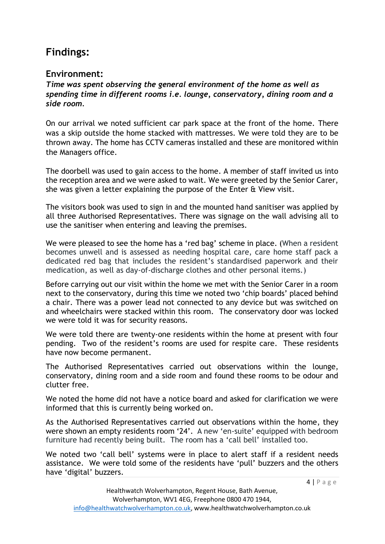# **Findings:**

#### **Environment:**

*Time was spent observing the general environment of the home as well as spending time in different rooms i.e. lounge, conservatory, dining room and a side room.*

On our arrival we noted sufficient car park space at the front of the home. There was a skip outside the home stacked with mattresses. We were told they are to be thrown away. The home has CCTV cameras installed and these are monitored within the Managers office.

The doorbell was used to gain access to the home. A member of staff invited us into the reception area and we were asked to wait. We were greeted by the Senior Carer, she was given a letter explaining the purpose of the Enter & View visit.

The visitors book was used to sign in and the mounted hand sanitiser was applied by all three Authorised Representatives. There was signage on the wall advising all to use the sanitiser when entering and leaving the premises.

We were pleased to see the home has a 'red bag' scheme in place. (When a resident becomes unwell and is assessed as needing hospital care, care home staff pack a dedicated red bag that includes the resident's standardised paperwork and their medication, as well as day-of-discharge clothes and other personal items.)

Before carrying out our visit within the home we met with the Senior Carer in a room next to the conservatory, during this time we noted two 'chip boards' placed behind a chair. There was a power lead not connected to any device but was switched on and wheelchairs were stacked within this room. The conservatory door was locked we were told it was for security reasons.

We were told there are twenty-one residents within the home at present with four pending. Two of the resident's rooms are used for respite care. These residents have now become permanent.

The Authorised Representatives carried out observations within the lounge, conservatory, dining room and a side room and found these rooms to be odour and clutter free.

We noted the home did not have a notice board and asked for clarification we were informed that this is currently being worked on.

As the Authorised Representatives carried out observations within the home, they were shown an empty residents room '24'. A new 'en-suite' equipped with bedroom furniture had recently being built. The room has a 'call bell' installed too.

We noted two 'call bell' systems were in place to alert staff if a resident needs assistance. We were told some of the residents have 'pull' buzzers and the others have 'digital' buzzers.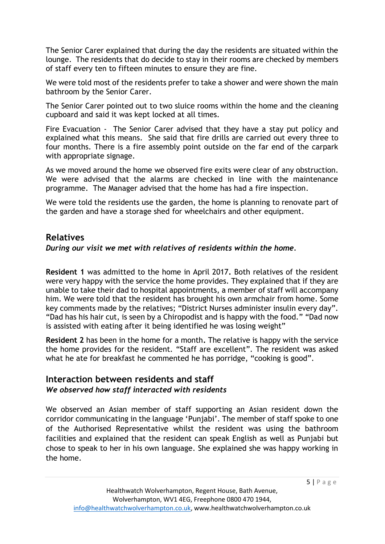The Senior Carer explained that during the day the residents are situated within the lounge. The residents that do decide to stay in their rooms are checked by members of staff every ten to fifteen minutes to ensure they are fine.

We were told most of the residents prefer to take a shower and were shown the main bathroom by the Senior Carer.

The Senior Carer pointed out to two sluice rooms within the home and the cleaning cupboard and said it was kept locked at all times.

Fire Evacuation - The Senior Carer advised that they have a stay put policy and explained what this means. She said that fire drills are carried out every three to four months. There is a fire assembly point outside on the far end of the carpark with appropriate signage.

As we moved around the home we observed fire exits were clear of any obstruction. We were advised that the alarms are checked in line with the maintenance programme. The Manager advised that the home has had a fire inspection.

We were told the residents use the garden, the home is planning to renovate part of the garden and have a storage shed for wheelchairs and other equipment.

#### **Relatives**

#### *During our visit we met with relatives of residents within the home.*

**Resident 1** was admitted to the home in April 2017**.** Both relatives of the resident were very happy with the service the home provides. They explained that if they are unable to take their dad to hospital appointments, a member of staff will accompany him. We were told that the resident has brought his own armchair from home. Some key comments made by the relatives; "District Nurses administer insulin every day". "Dad has his hair cut, is seen by a Chiropodist and is happy with the food." "Dad now is assisted with eating after it being identified he was losing weight"

**Resident 2** has been in the home for a month**.** The relative is happy with the service the home provides for the resident. "Staff are excellent". The resident was asked what he ate for breakfast he commented he has porridge, "cooking is good".

#### **Interaction between residents and staff** *We observed how staff interacted with residents*

We observed an Asian member of staff supporting an Asian resident down the corridor communicating in the language 'Punjabi'. The member of staff spoke to one of the Authorised Representative whilst the resident was using the bathroom facilities and explained that the resident can speak English as well as Punjabi but chose to speak to her in his own language. She explained she was happy working in the home.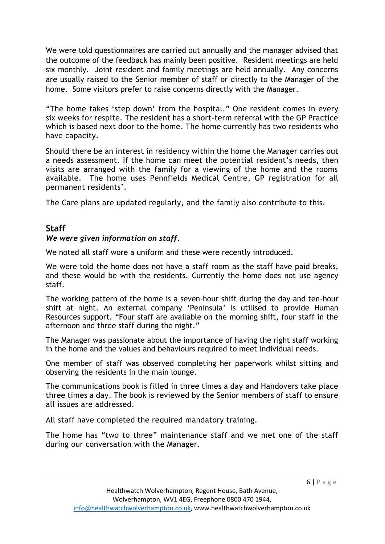We were told questionnaires are carried out annually and the manager advised that the outcome of the feedback has mainly been positive. Resident meetings are held six monthly. Joint resident and family meetings are held annually. Any concerns are usually raised to the Senior member of staff or directly to the Manager of the home. Some visitors prefer to raise concerns directly with the Manager.

"The home takes 'step down' from the hospital." One resident comes in every six weeks for respite. The resident has a short-term referral with the GP Practice which is based next door to the home. The home currently has two residents who have capacity.

Should there be an interest in residency within the home the Manager carries out a needs assessment. If the home can meet the potential resident's needs, then visits are arranged with the family for a viewing of the home and the rooms available. The home uses Pennfields Medical Centre, GP registration for all permanent residents'.

The Care plans are updated regularly, and the family also contribute to this.

#### **Staff**

#### *We were given information on staff.*

We noted all staff wore a uniform and these were recently introduced.

We were told the home does not have a staff room as the staff have paid breaks, and these would be with the residents. Currently the home does not use agency staff.

The working pattern of the home is a seven-hour shift during the day and ten-hour shift at night. An external company 'Peninsula' is utilised to provide Human Resources support. "Four staff are available on the morning shift, four staff in the afternoon and three staff during the night."

The Manager was passionate about the importance of having the right staff working in the home and the values and behaviours required to meet individual needs.

One member of staff was observed completing her paperwork whilst sitting and observing the residents in the main lounge.

The communications book is filled in three times a day and Handovers take place three times a day. The book is reviewed by the Senior members of staff to ensure all issues are addressed.

All staff have completed the required mandatory training.

The home has "two to three" maintenance staff and we met one of the staff during our conversation with the Manager.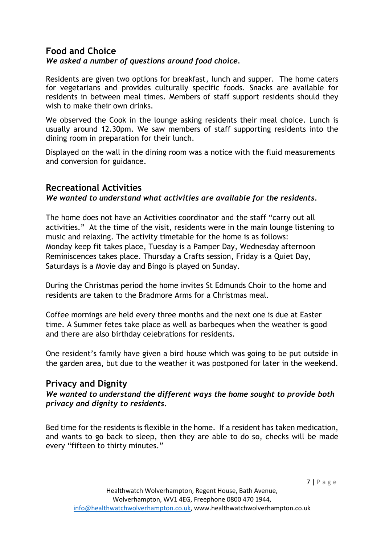#### **Food and Choice**  *We asked a number of questions around food choice.*

Residents are given two options for breakfast, lunch and supper. The home caters for vegetarians and provides culturally specific foods. Snacks are available for residents in between meal times. Members of staff support residents should they wish to make their own drinks.

We observed the Cook in the lounge asking residents their meal choice. Lunch is usually around 12.30pm. We saw members of staff supporting residents into the dining room in preparation for their lunch.

Displayed on the wall in the dining room was a notice with the fluid measurements and conversion for guidance.

#### **Recreational Activities**

#### *We wanted to understand what activities are available for the residents.*

The home does not have an Activities coordinator and the staff "carry out all activities." At the time of the visit, residents were in the main lounge listening to music and relaxing. The activity timetable for the home is as follows: Monday keep fit takes place, Tuesday is a Pamper Day, Wednesday afternoon Reminiscences takes place. Thursday a Crafts session, Friday is a Quiet Day, Saturdays is a Movie day and Bingo is played on Sunday.

During the Christmas period the home invites St Edmunds Choir to the home and residents are taken to the Bradmore Arms for a Christmas meal.

Coffee mornings are held every three months and the next one is due at Easter time. A Summer fetes take place as well as barbeques when the weather is good and there are also birthday celebrations for residents.

One resident's family have given a bird house which was going to be put outside in the garden area, but due to the weather it was postponed for later in the weekend.

#### **Privacy and Dignity**

*We wanted to understand the different ways the home sought to provide both privacy and dignity to residents.*

Bed time for the residents is flexible in the home. If a resident has taken medication, and wants to go back to sleep, then they are able to do so, checks will be made every "fifteen to thirty minutes."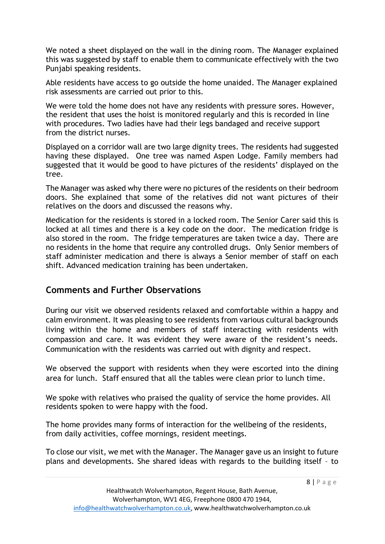We noted a sheet displayed on the wall in the dining room. The Manager explained this was suggested by staff to enable them to communicate effectively with the two Punjabi speaking residents.

Able residents have access to go outside the home unaided. The Manager explained risk assessments are carried out prior to this.

We were told the home does not have any residents with pressure sores. However, the resident that uses the hoist is monitored regularly and this is recorded in line with procedures. Two ladies have had their legs bandaged and receive support from the district nurses.

Displayed on a corridor wall are two large dignity trees. The residents had suggested having these displayed. One tree was named Aspen Lodge. Family members had suggested that it would be good to have pictures of the residents' displayed on the tree.

The Manager was asked why there were no pictures of the residents on their bedroom doors. She explained that some of the relatives did not want pictures of their relatives on the doors and discussed the reasons why.

Medication for the residents is stored in a locked room. The Senior Carer said this is locked at all times and there is a key code on the door. The medication fridge is also stored in the room. The fridge temperatures are taken twice a day. There are no residents in the home that require any controlled drugs. Only Senior members of staff administer medication and there is always a Senior member of staff on each shift. Advanced medication training has been undertaken.

#### **Comments and Further Observations**

During our visit we observed residents relaxed and comfortable within a happy and calm environment. It was pleasing to see residents from various cultural backgrounds living within the home and members of staff interacting with residents with compassion and care. It was evident they were aware of the resident's needs. Communication with the residents was carried out with dignity and respect.

We observed the support with residents when they were escorted into the dining area for lunch. Staff ensured that all the tables were clean prior to lunch time.

We spoke with relatives who praised the quality of service the home provides. All residents spoken to were happy with the food.

The home provides many forms of interaction for the wellbeing of the residents, from daily activities, coffee mornings, resident meetings.

To close our visit, we met with the Manager. The Manager gave us an insight to future plans and developments. She shared ideas with regards to the building itself – to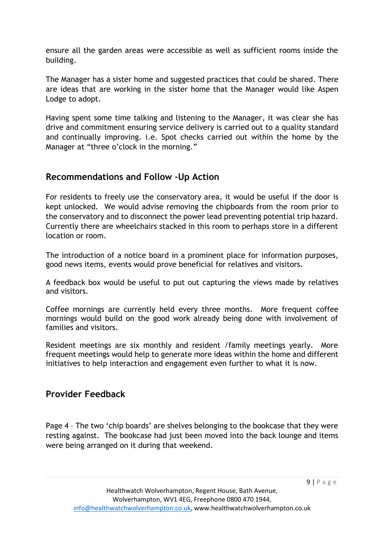ensure all the garden areas were accessible as well as sufficient rooms inside the building.

The Manager has a sister home and suggested practices that could be shared. There are ideas that are working in the sister home that the Manager would like Aspen Lodge to adopt.

Having spent some time talking and listening to the Manager, it was clear she has drive and commitment ensuring service delivery is carried out to a quality standard and continually improving. i.e. Spot checks carried out within the home by the Manager at "three o'clock in the morning."

#### **Recommendations and Follow –Up Action**

For residents to freely use the conservatory area, it would be useful if the door is kept unlocked. We would advise removing the chipboards from the room prior to the conservatory and to disconnect the power lead preventing potential trip hazard. Currently there are wheelchairs stacked in this room to perhaps store in a different location or room.

The introduction of a notice board in a prominent place for information purposes, good news items, events would prove beneficial for relatives and visitors.

A feedback box would be useful to put out capturing the views made by relatives and visitors.

Coffee mornings are currently held every three months. More frequent coffee mornings would build on the good work already being done with involvement of families and visitors.

Resident meetings are six monthly and resident /family meetings yearly. More frequent meetings would help to generate more ideas within the home and different initiatives to help interaction and engagement even further to what it is now.

#### **Provider Feedback**

Page 4 – The two 'chip boards' are shelves belonging to the bookcase that they were resting against. The bookcase had just been moved into the back lounge and items were being arranged on it during that weekend.